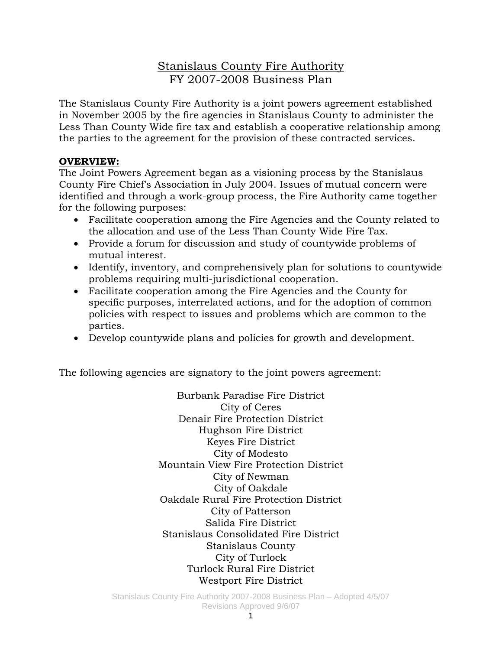# Stanislaus County Fire Authority FY 2007-2008 Business Plan

The Stanislaus County Fire Authority is a joint powers agreement established in November 2005 by the fire agencies in Stanislaus County to administer the Less Than County Wide fire tax and establish a cooperative relationship among the parties to the agreement for the provision of these contracted services.

### **OVERVIEW:**

The Joint Powers Agreement began as a visioning process by the Stanislaus County Fire Chief's Association in July 2004. Issues of mutual concern were identified and through a work-group process, the Fire Authority came together for the following purposes:

- Facilitate cooperation among the Fire Agencies and the County related to the allocation and use of the Less Than County Wide Fire Tax.
- Provide a forum for discussion and study of countywide problems of mutual interest.
- Identify, inventory, and comprehensively plan for solutions to countywide problems requiring multi-jurisdictional cooperation.
- Facilitate cooperation among the Fire Agencies and the County for specific purposes, interrelated actions, and for the adoption of common policies with respect to issues and problems which are common to the parties.
- Develop countywide plans and policies for growth and development.

The following agencies are signatory to the joint powers agreement:

Burbank Paradise Fire District City of Ceres Denair Fire Protection District Hughson Fire District Keyes Fire District City of Modesto Mountain View Fire Protection District City of Newman City of Oakdale Oakdale Rural Fire Protection District City of Patterson Salida Fire District Stanislaus Consolidated Fire District Stanislaus County City of Turlock Turlock Rural Fire District Westport Fire District

Stanislaus County Fire Authority 2007-2008 Business Plan – Adopted 4/5/07 Revisions Approved 9/6/07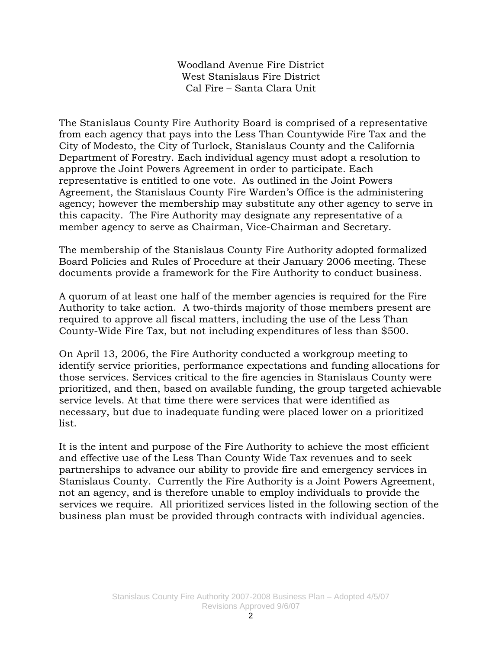Woodland Avenue Fire District West Stanislaus Fire District Cal Fire – Santa Clara Unit

The Stanislaus County Fire Authority Board is comprised of a representative from each agency that pays into the Less Than Countywide Fire Tax and the City of Modesto, the City of Turlock, Stanislaus County and the California Department of Forestry. Each individual agency must adopt a resolution to approve the Joint Powers Agreement in order to participate. Each representative is entitled to one vote. As outlined in the Joint Powers Agreement, the Stanislaus County Fire Warden's Office is the administering agency; however the membership may substitute any other agency to serve in this capacity. The Fire Authority may designate any representative of a member agency to serve as Chairman, Vice-Chairman and Secretary.

The membership of the Stanislaus County Fire Authority adopted formalized Board Policies and Rules of Procedure at their January 2006 meeting. These documents provide a framework for the Fire Authority to conduct business.

A quorum of at least one half of the member agencies is required for the Fire Authority to take action. A two-thirds majority of those members present are required to approve all fiscal matters, including the use of the Less Than County-Wide Fire Tax, but not including expenditures of less than \$500.

On April 13, 2006, the Fire Authority conducted a workgroup meeting to identify service priorities, performance expectations and funding allocations for those services. Services critical to the fire agencies in Stanislaus County were prioritized, and then, based on available funding, the group targeted achievable service levels. At that time there were services that were identified as necessary, but due to inadequate funding were placed lower on a prioritized list.

It is the intent and purpose of the Fire Authority to achieve the most efficient and effective use of the Less Than County Wide Tax revenues and to seek partnerships to advance our ability to provide fire and emergency services in Stanislaus County. Currently the Fire Authority is a Joint Powers Agreement, not an agency, and is therefore unable to employ individuals to provide the services we require. All prioritized services listed in the following section of the business plan must be provided through contracts with individual agencies.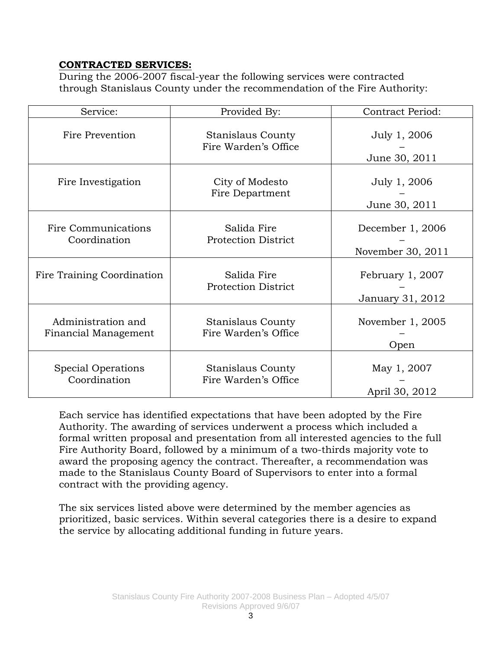### **CONTRACTED SERVICES:**

During the 2006-2007 fiscal-year the following services were contracted through Stanislaus County under the recommendation of the Fire Authority:

| Service:                                   | Provided By:                                     | <b>Contract Period:</b>               |
|--------------------------------------------|--------------------------------------------------|---------------------------------------|
| Fire Prevention                            | Stanislaus County<br>Fire Warden's Office        | July 1, 2006<br>June 30, 2011         |
| Fire Investigation                         | City of Modesto<br>Fire Department               | July 1, 2006<br>June 30, 2011         |
| Fire Communications<br>Coordination        | Salida Fire<br><b>Protection District</b>        | December 1, 2006<br>November 30, 2011 |
| Fire Training Coordination                 | Salida Fire<br><b>Protection District</b>        | February 1, 2007<br>January 31, 2012  |
| Administration and<br>Financial Management | <b>Stanislaus County</b><br>Fire Warden's Office | November 1, 2005<br>Open              |
| <b>Special Operations</b><br>Coordination  | <b>Stanislaus County</b><br>Fire Warden's Office | May 1, 2007<br>April 30, 2012         |

Each service has identified expectations that have been adopted by the Fire Authority. The awarding of services underwent a process which included a formal written proposal and presentation from all interested agencies to the full Fire Authority Board, followed by a minimum of a two-thirds majority vote to award the proposing agency the contract. Thereafter, a recommendation was made to the Stanislaus County Board of Supervisors to enter into a formal contract with the providing agency.

The six services listed above were determined by the member agencies as prioritized, basic services. Within several categories there is a desire to expand the service by allocating additional funding in future years.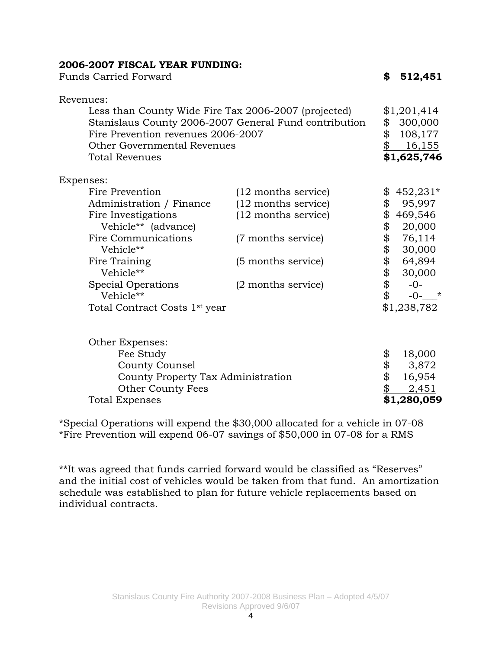### **2006-2007 FISCAL YEAR FUNDING:**

| <b>Funds Carried Forward</b>                                                                                                                                                                                                                       |                                                                                                                                       | \$                                                 | 512,451                                                                                                               |
|----------------------------------------------------------------------------------------------------------------------------------------------------------------------------------------------------------------------------------------------------|---------------------------------------------------------------------------------------------------------------------------------------|----------------------------------------------------|-----------------------------------------------------------------------------------------------------------------------|
| Revenues:                                                                                                                                                                                                                                          |                                                                                                                                       |                                                    |                                                                                                                       |
| Less than County Wide Fire Tax 2006-2007 (projected)<br>Fire Prevention revenues 2006-2007<br><b>Other Governmental Revenues</b><br><b>Total Revenues</b>                                                                                          | Stanislaus County 2006-2007 General Fund contribution                                                                                 | \$<br>\$<br>\$                                     | \$1,201,414<br>300,000<br>108,177<br>16,155<br>\$1,625,746                                                            |
| Expenses:                                                                                                                                                                                                                                          |                                                                                                                                       |                                                    |                                                                                                                       |
| Fire Prevention<br>Administration / Finance<br>Fire Investigations<br>Vehicle** (advance)<br>Fire Communications<br>Vehicle**<br>Fire Training<br>Vehicle**<br><b>Special Operations</b><br>Vehicle**<br>Total Contract Costs 1 <sup>st</sup> year | $(12$ months service)<br>(12 months service)<br>(12 months service)<br>(7 months service)<br>(5 months service)<br>(2 months service) | \$<br>\$<br>\$<br>\$<br>\$<br>\$<br>\$<br>\$<br>\$ | $$452,231*$<br>95,997<br>469,546<br>20,000<br>76,114<br>30,000<br>64,894<br>30,000<br>$-0-$<br>$-0-$ *<br>\$1,238,782 |
| Other Expenses:<br>Fee Study<br><b>County Counsel</b><br>County Property Tax Administration<br><b>Other County Fees</b><br>Total Expenses                                                                                                          |                                                                                                                                       | \$<br>\$<br>\$<br>\$                               | 18,000<br>3,872<br>16,954<br>2,451<br>\$1,280,059                                                                     |

\*Special Operations will expend the \$30,000 allocated for a vehicle in 07-08 \*Fire Prevention will expend 06-07 savings of \$50,000 in 07-08 for a RMS

\*\*It was agreed that funds carried forward would be classified as "Reserves" and the initial cost of vehicles would be taken from that fund. An amortization schedule was established to plan for future vehicle replacements based on individual contracts.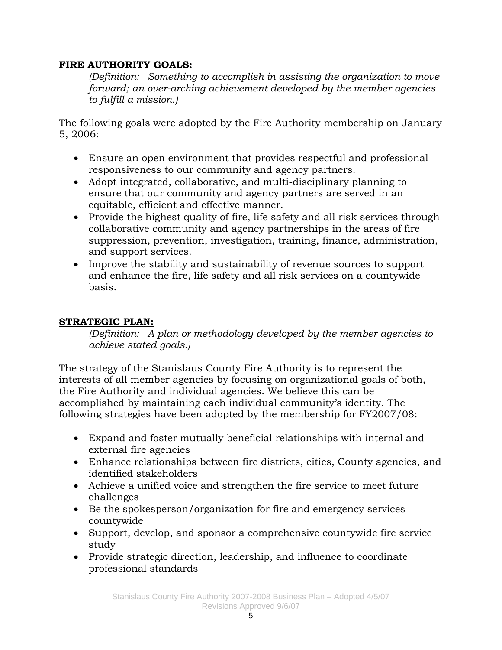## **FIRE AUTHORITY GOALS:**

*(Definition: Something to accomplish in assisting the organization to move forward; an over-arching achievement developed by the member agencies to fulfill a mission.)* 

The following goals were adopted by the Fire Authority membership on January 5, 2006:

- Ensure an open environment that provides respectful and professional responsiveness to our community and agency partners.
- Adopt integrated, collaborative, and multi-disciplinary planning to ensure that our community and agency partners are served in an equitable, efficient and effective manner.
- Provide the highest quality of fire, life safety and all risk services through collaborative community and agency partnerships in the areas of fire suppression, prevention, investigation, training, finance, administration, and support services.
- Improve the stability and sustainability of revenue sources to support and enhance the fire, life safety and all risk services on a countywide basis.

# **STRATEGIC PLAN:**

*(Definition: A plan or methodology developed by the member agencies to achieve stated goals.)* 

The strategy of the Stanislaus County Fire Authority is to represent the interests of all member agencies by focusing on organizational goals of both, the Fire Authority and individual agencies. We believe this can be accomplished by maintaining each individual community's identity. The following strategies have been adopted by the membership for FY2007/08:

- Expand and foster mutually beneficial relationships with internal and external fire agencies
- Enhance relationships between fire districts, cities, County agencies, and identified stakeholders
- Achieve a unified voice and strengthen the fire service to meet future challenges
- Be the spokesperson/organization for fire and emergency services countywide
- Support, develop, and sponsor a comprehensive countywide fire service study
- Provide strategic direction, leadership, and influence to coordinate professional standards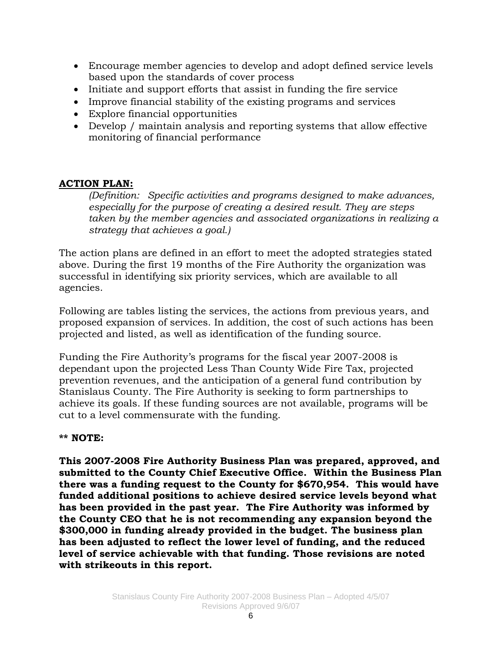- Encourage member agencies to develop and adopt defined service levels based upon the standards of cover process
- Initiate and support efforts that assist in funding the fire service
- Improve financial stability of the existing programs and services
- Explore financial opportunities
- Develop / maintain analysis and reporting systems that allow effective monitoring of financial performance

## **ACTION PLAN:**

*(Definition: Specific activities and programs designed to make advances, especially for the purpose of creating a desired result. They are steps taken by the member agencies and associated organizations in realizing a strategy that achieves a goal.)* 

The action plans are defined in an effort to meet the adopted strategies stated above. During the first 19 months of the Fire Authority the organization was successful in identifying six priority services, which are available to all agencies.

Following are tables listing the services, the actions from previous years, and proposed expansion of services. In addition, the cost of such actions has been projected and listed, as well as identification of the funding source.

Funding the Fire Authority's programs for the fiscal year 2007-2008 is dependant upon the projected Less Than County Wide Fire Tax, projected prevention revenues, and the anticipation of a general fund contribution by Stanislaus County. The Fire Authority is seeking to form partnerships to achieve its goals. If these funding sources are not available, programs will be cut to a level commensurate with the funding.

### **\*\* NOTE:**

**This 2007-2008 Fire Authority Business Plan was prepared, approved, and submitted to the County Chief Executive Office. Within the Business Plan there was a funding request to the County for \$670,954. This would have funded additional positions to achieve desired service levels beyond what has been provided in the past year. The Fire Authority was informed by the County CEO that he is not recommending any expansion beyond the \$300,000 in funding already provided in the budget. The business plan has been adjusted to reflect the lower level of funding, and the reduced level of service achievable with that funding. Those revisions are noted with strikeouts in this report.**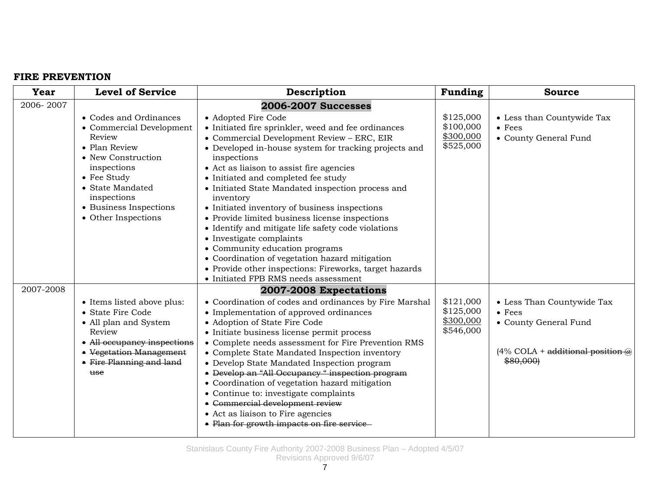#### **FIRE PREVENTION**

| <b>Year</b> | <b>Level of Service</b>                                                                                                                                                                                               | Description                                                                                                                                                                                                                                                                                                                                                                                                                                                                                                                                                                                                                                                                                                                                                     | Funding                                          | <b>Source</b>                                                                                                              |
|-------------|-----------------------------------------------------------------------------------------------------------------------------------------------------------------------------------------------------------------------|-----------------------------------------------------------------------------------------------------------------------------------------------------------------------------------------------------------------------------------------------------------------------------------------------------------------------------------------------------------------------------------------------------------------------------------------------------------------------------------------------------------------------------------------------------------------------------------------------------------------------------------------------------------------------------------------------------------------------------------------------------------------|--------------------------------------------------|----------------------------------------------------------------------------------------------------------------------------|
| 2006-2007   | • Codes and Ordinances<br>• Commercial Development<br>Review<br>• Plan Review<br>• New Construction<br>inspections<br>• Fee Study<br>• State Mandated<br>inspections<br>• Business Inspections<br>• Other Inspections | <b>2006-2007 Successes</b><br>• Adopted Fire Code<br>• Initiated fire sprinkler, weed and fee ordinances<br>• Commercial Development Review - ERC, EIR<br>• Developed in-house system for tracking projects and<br>inspections<br>• Act as liaison to assist fire agencies<br>• Initiated and completed fee study<br>• Initiated State Mandated inspection process and<br>inventory<br>• Initiated inventory of business inspections<br>• Provide limited business license inspections<br>• Identify and mitigate life safety code violations<br>• Investigate complaints<br>• Community education programs<br>• Coordination of vegetation hazard mitigation<br>• Provide other inspections: Fireworks, target hazards<br>• Initiated FPB RMS needs assessment | \$125,000<br>\$100,000<br>\$300,000<br>\$525,000 | • Less than Countywide Tax<br>$\bullet$ Fees<br>• County General Fund                                                      |
| 2007-2008   | • Items listed above plus:<br>• State Fire Code<br>• All plan and System<br>Review<br>• All occupancy inspections<br>• Vegetation Management<br>• Fire Planning and land<br>use                                       | 2007-2008 Expectations<br>• Coordination of codes and ordinances by Fire Marshal<br>• Implementation of approved ordinances<br>• Adoption of State Fire Code<br>• Initiate business license permit process<br>• Complete needs assessment for Fire Prevention RMS<br>• Complete State Mandated Inspection inventory<br>• Develop State Mandated Inspection program<br>• Develop an "All Occupancy " inspection program<br>• Coordination of vegetation hazard mitigation<br>• Continue to: investigate complaints<br>• Commercial development review<br>• Act as liaison to Fire agencies<br>• Plan for growth impacts on fire service                                                                                                                          | \$121,000<br>\$125,000<br>\$300,000<br>\$546,000 | • Less Than Countywide Tax<br>$\bullet$ Fees<br>• County General Fund<br>$(4\%$ COLA + additional position $@$<br>\$80,000 |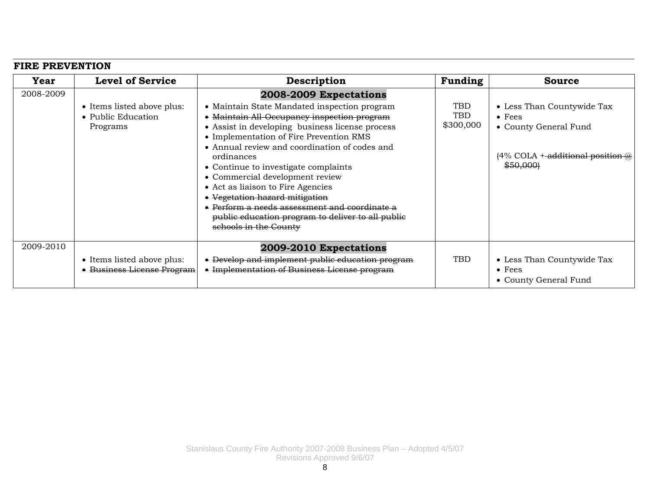#### **FIRE PREVENTION**

| Year      | <b>Level of Service</b>                                      | Description                                                                                                                                                                                                                                                                                                                                                                                                                                                                                                                                                       | Funding                               | <b>Source</b>                                                                                                                                 |
|-----------|--------------------------------------------------------------|-------------------------------------------------------------------------------------------------------------------------------------------------------------------------------------------------------------------------------------------------------------------------------------------------------------------------------------------------------------------------------------------------------------------------------------------------------------------------------------------------------------------------------------------------------------------|---------------------------------------|-----------------------------------------------------------------------------------------------------------------------------------------------|
| 2008-2009 | • Items listed above plus:<br>• Public Education<br>Programs | 2008-2009 Expectations<br>• Maintain State Mandated inspection program<br>• Maintain All-Occupancy inspection program<br>• Assist in developing business license process<br>• Implementation of Fire Prevention RMS<br>• Annual review and coordination of codes and<br>ordinances<br>• Continue to investigate complaints<br>• Commercial development review<br>• Act as liaison to Fire Agencies<br>• Vegetation hazard mitigation<br>Perform a needs assessment and coordinate a<br>public education program to deliver to all public<br>schools in the County | <b>TBD</b><br><b>TBD</b><br>\$300,000 | • Less Than Countywide Tax<br>$\bullet$ Fees<br>• County General Fund<br>$(4\% \text{ COLA} + \text{additional position }\omega)$<br>\$50,000 |
| 2009-2010 | • Items listed above plus:<br>• Business License Program     | 2009-2010 Expectations<br>Develop and implement public education program<br>• Implementation of Business License program                                                                                                                                                                                                                                                                                                                                                                                                                                          | <b>TBD</b>                            | • Less Than Countywide Tax<br>$\bullet$ Fees<br>• County General Fund                                                                         |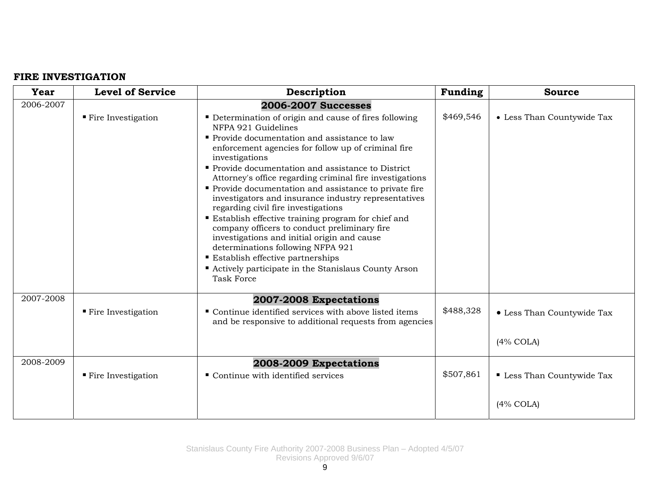#### **FIRE INVESTIGATION**

| Year      | <b>Level of Service</b>           | Description                                                                                                                                                                                                                                                                                                                                                                                                                                                                                                                                                                                                                                                                                                                                                                                                                   | Funding   | <b>Source</b>                                   |
|-----------|-----------------------------------|-------------------------------------------------------------------------------------------------------------------------------------------------------------------------------------------------------------------------------------------------------------------------------------------------------------------------------------------------------------------------------------------------------------------------------------------------------------------------------------------------------------------------------------------------------------------------------------------------------------------------------------------------------------------------------------------------------------------------------------------------------------------------------------------------------------------------------|-----------|-------------------------------------------------|
| 2006-2007 | $\blacksquare$ Fire Investigation | <b>2006-2007 Successes</b><br>• Determination of origin and cause of fires following<br>NFPA 921 Guidelines<br>Provide documentation and assistance to law<br>enforcement agencies for follow up of criminal fire<br>investigations<br>Provide documentation and assistance to District<br>Attorney's office regarding criminal fire investigations<br>• Provide documentation and assistance to private fire<br>investigators and insurance industry representatives<br>regarding civil fire investigations<br>Establish effective training program for chief and<br>company officers to conduct preliminary fire<br>investigations and initial origin and cause<br>determinations following NFPA 921<br><b>Establish effective partnerships</b><br>Actively participate in the Stanislaus County Arson<br><b>Task Force</b> | \$469,546 | • Less Than Countywide Tax                      |
| 2007-2008 | $\blacksquare$ Fire Investigation | 2007-2008 Expectations<br>Continue identified services with above listed items<br>and be responsive to additional requests from agencies                                                                                                                                                                                                                                                                                                                                                                                                                                                                                                                                                                                                                                                                                      | \$488,328 | • Less Than Countywide Tax<br>$(4\%$ COLA)      |
| 2008-2009 | $\blacksquare$ Fire Investigation | 2008-2009 Expectations<br>• Continue with identified services                                                                                                                                                                                                                                                                                                                                                                                                                                                                                                                                                                                                                                                                                                                                                                 | \$507,861 | <b>Less Than Countywide Tax</b><br>$(4\%$ COLA) |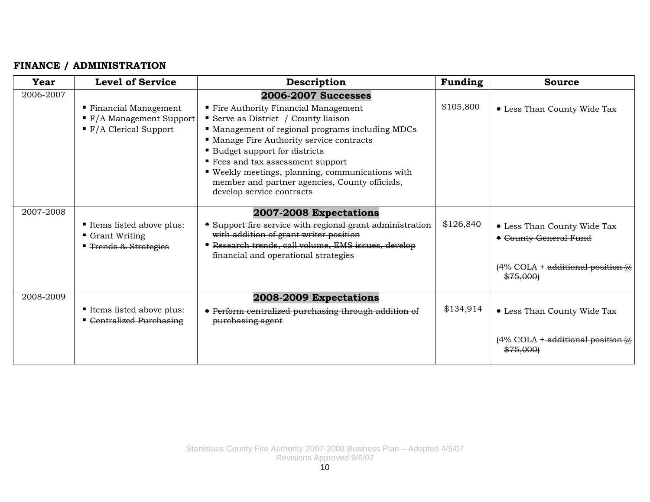### **FINANCE / ADMINISTRATION**

| Year      | <b>Level of Service</b>                                                                                              | Description                                                                                                                                                                                                                                                                                                                                                                                                          | Funding   | <b>Source</b>                                                                                             |
|-----------|----------------------------------------------------------------------------------------------------------------------|----------------------------------------------------------------------------------------------------------------------------------------------------------------------------------------------------------------------------------------------------------------------------------------------------------------------------------------------------------------------------------------------------------------------|-----------|-----------------------------------------------------------------------------------------------------------|
| 2006-2007 | ■ Financial Management<br>$\blacktriangleright$ F/A Management Support<br>$\blacktriangleright$ F/A Clerical Support | <b>2006-2007 Successes</b><br>" Fire Authority Financial Management<br>Serve as District / County liaison<br>• Management of regional programs including MDCs<br>" Manage Fire Authority service contracts<br>■ Budget support for districts<br>■ Fees and tax assessment support<br>■ Weekly meetings, planning, communications with<br>member and partner agencies, County officials,<br>develop service contracts | \$105,800 | • Less Than County Wide Tax                                                                               |
| 2007-2008 | Items listed above plus:<br>Grant Writing<br><b>Trends &amp; Strategies</b>                                          | 2007-2008 Expectations<br>Support fire service with regional grant administration<br>with addition of grant writer position<br>Research trends, call volume, EMS issues, develop<br>financial and operational strategies                                                                                                                                                                                             | \$126,840 | • Less Than County Wide Tax<br>• County General Fund<br>$(4\%$ COLA + additional position $@$<br>\$75,000 |
| 2008-2009 | Items listed above plus:<br><b>E</b> Centralized Purchasing                                                          | 2008-2009 Expectations<br>• Perform centralized purchasing through addition of<br>purchasing agent                                                                                                                                                                                                                                                                                                                   | \$134,914 | • Less Than County Wide Tax<br>$(4\% \text{ COLA} + \text{additional position}\omega)$<br>\$75.000)       |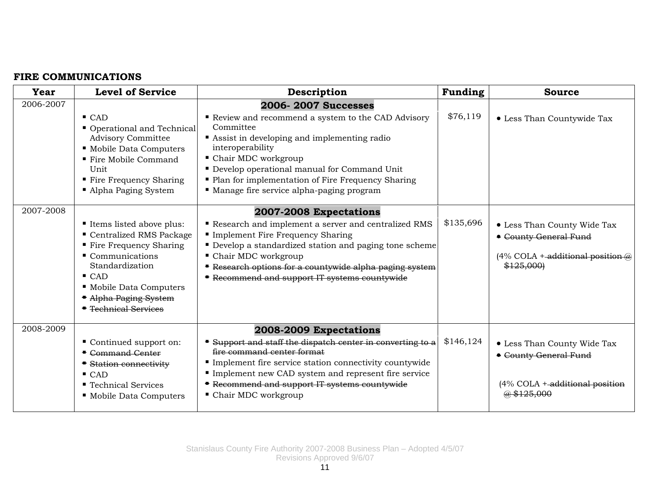# **FIRE COMMUNICATIONS**

| Year      | <b>Level of Service</b>                                                                                                                                                                                                             | Description                                                                                                                                                                                                                                                                                                                                  | Funding   | <b>Source</b>                                                                                                                |
|-----------|-------------------------------------------------------------------------------------------------------------------------------------------------------------------------------------------------------------------------------------|----------------------------------------------------------------------------------------------------------------------------------------------------------------------------------------------------------------------------------------------------------------------------------------------------------------------------------------------|-----------|------------------------------------------------------------------------------------------------------------------------------|
| 2006-2007 | $\blacksquare$ CAD<br>Operational and Technical<br><b>Advisory Committee</b><br>• Mobile Data Computers<br>■ Fire Mobile Command<br>Unit<br>■ Fire Frequency Sharing<br>• Alpha Paging System                                       | <b>2006-2007 Successes</b><br>Review and recommend a system to the CAD Advisory<br>Committee<br>Assist in developing and implementing radio<br>interoperability<br>■ Chair MDC workgroup<br>Develop operational manual for Command Unit<br>• Plan for implementation of Fire Frequency Sharing<br>" Manage fire service alpha-paging program | \$76,119  | • Less Than Countywide Tax                                                                                                   |
| 2007-2008 | Items listed above plus:<br>Centralized RMS Package<br>■ Fire Frequency Sharing<br>$\blacksquare$ Communications<br>Standardization<br>$\blacksquare$ CAD<br>• Mobile Data Computers<br>• Alpha Paging System<br>Technical Services | 2007-2008 Expectations<br>Research and implement a server and centralized RMS<br>Implement Fire Frequency Sharing<br>Develop a standardized station and paging tone scheme<br>• Chair MDC workgroup<br>Research options for a countywide alpha paging system<br>Recommend and support IT systems countywide                                  | \$135,696 | • Less Than County Wide Tax<br>• County General Fund<br>$(4\% \text{ COLA} + \text{additional position}\omega)$<br>\$125,000 |
| 2008-2009 | Continued support on:<br><b>E</b> Command Center<br><b>Station connectivity</b><br>$\blacksquare$ CAD<br>■ Technical Services<br>• Mobile Data Computers                                                                            | 2008-2009 Expectations<br>Support and staff the dispatch center in converting to a<br>fire command center format<br>Implement fire service station connectivity countywide<br>Implement new CAD system and represent fire service<br>Recommend and support IT systems countywide<br>• Chair MDC workgroup                                    | \$146,124 | • Less Than County Wide Tax<br>• County General Fund<br>$(4\%$ COLA $+$ -additional position<br>@\$125.000                   |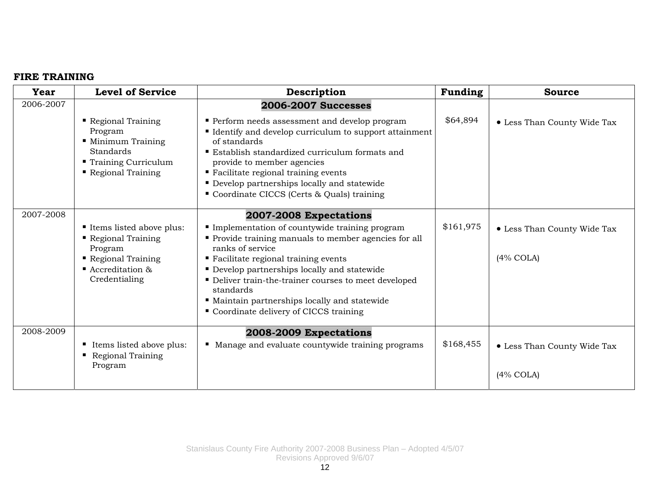## **FIRE TRAINING**

| Year      | <b>Level of Service</b>                                                                                                          | Description                                                                                                                                                                                                                                                                                                                                                                                                   | Funding   | <b>Source</b>                               |
|-----------|----------------------------------------------------------------------------------------------------------------------------------|---------------------------------------------------------------------------------------------------------------------------------------------------------------------------------------------------------------------------------------------------------------------------------------------------------------------------------------------------------------------------------------------------------------|-----------|---------------------------------------------|
| 2006-2007 | Regional Training<br>Program<br>• Minimum Training<br>Standards<br>■ Training Curriculum<br>Regional Training                    | <b>2006-2007 Successes</b><br>Perform needs assessment and develop program<br><b>If I</b> Identify and develop curriculum to support attainment<br>of standards<br>■ Establish standardized curriculum formats and<br>provide to member agencies<br>■ Facilitate regional training events<br>$\blacksquare$<br>Develop partnerships locally and statewide<br>" Coordinate CICCS (Certs & Quals) training      | \$64,894  | • Less Than County Wide Tax                 |
| 2007-2008 | Items listed above plus:<br>Regional Training<br>Program<br>Regional Training<br>$\blacksquare$ Accreditation &<br>Credentialing | 2007-2008 Expectations<br>Implementation of countywide training program<br>Provide training manuals to member agencies for all<br>ranks of service<br>■ Facilitate regional training events<br>• Develop partnerships locally and statewide<br>• Deliver train-the-trainer courses to meet developed<br>standards<br>" Maintain partnerships locally and statewide<br>• Coordinate delivery of CICCS training | \$161,975 | • Less Than County Wide Tax<br>$(4\%$ COLA) |
| 2008-2009 | ■ Items listed above plus:<br>Regional Training<br>$\blacksquare$<br>Program                                                     | 2008-2009 Expectations<br>Manage and evaluate countywide training programs                                                                                                                                                                                                                                                                                                                                    | \$168,455 | • Less Than County Wide Tax<br>$(4\%$ COLA) |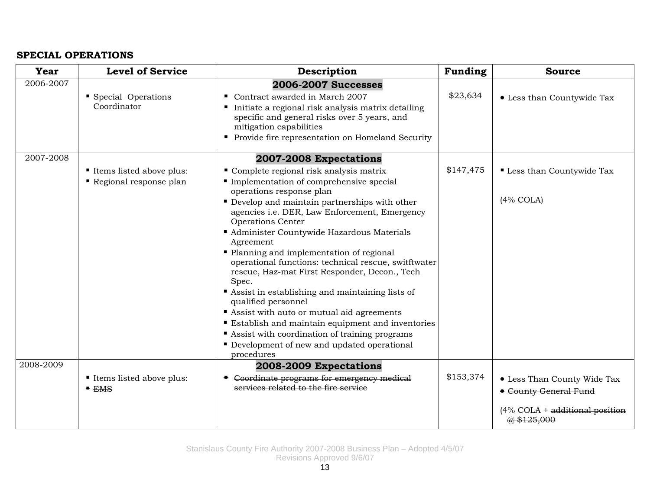## **SPECIAL OPERATIONS**

| <b>Year</b> | <b>Level of Service</b>                            | Description                                                                                                                                                                                                                                                                                                                                                                                                                                                                                                                                                                                                                                                                                                                                                                                    | Funding   | <b>Source</b>                                                                                                     |
|-------------|----------------------------------------------------|------------------------------------------------------------------------------------------------------------------------------------------------------------------------------------------------------------------------------------------------------------------------------------------------------------------------------------------------------------------------------------------------------------------------------------------------------------------------------------------------------------------------------------------------------------------------------------------------------------------------------------------------------------------------------------------------------------------------------------------------------------------------------------------------|-----------|-------------------------------------------------------------------------------------------------------------------|
| 2006-2007   | Special Operations<br>Coordinator                  | <b>2006-2007 Successes</b><br>Contract awarded in March 2007<br>Initiate a regional risk analysis matrix detailing<br>specific and general risks over 5 years, and<br>mitigation capabilities<br>• Provide fire representation on Homeland Security                                                                                                                                                                                                                                                                                                                                                                                                                                                                                                                                            | \$23,634  | • Less than Countywide Tax                                                                                        |
| 2007-2008   | Items listed above plus:<br>Regional response plan | 2007-2008 Expectations<br>Complete regional risk analysis matrix<br>Implementation of comprehensive special<br>operations response plan<br>Develop and maintain partnerships with other<br>agencies i.e. DER, Law Enforcement, Emergency<br><b>Operations Center</b><br>Administer Countywide Hazardous Materials<br>Agreement<br>• Planning and implementation of regional<br>operational functions: technical rescue, switftwater<br>rescue, Haz-mat First Responder, Decon., Tech<br>Spec.<br>Assist in establishing and maintaining lists of<br>qualified personnel<br>Assist with auto or mutual aid agreements<br><b>Establish and maintain equipment and inventories</b><br>Assist with coordination of training programs<br>• Development of new and updated operational<br>procedures | \$147,475 | Less than Countywide Tax<br>$(4\%$ COLA)                                                                          |
| 2008-2009   | Items listed above plus:<br>EMS                    | 2008-2009 Expectations<br>• Coordinate programs for emergency medical<br>services related to the fire service                                                                                                                                                                                                                                                                                                                                                                                                                                                                                                                                                                                                                                                                                  | \$153,374 | • Less Than County Wide Tax<br><b>• County General Fund</b><br>$(4\%$ COLA + additional position<br>$@$ \$125,000 |